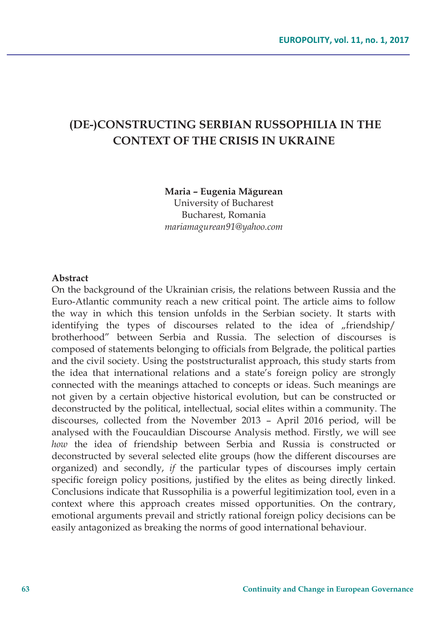# **(DE-)CONSTRUCTING SERBIAN RUSSOPHILIA IN THE CONTEXT OF THE CRISIS IN UKRAINE**

**Maria – Eugenia Măgurean**  University of Bucharest Bucharest, Romania

*mariamagurean91@yahoo.com* 

#### **Abstract**

On the background of the Ukrainian crisis, the relations between Russia and the Euro-Atlantic community reach a new critical point. The article aims to follow the way in which this tension unfolds in the Serbian society. It starts with identifying the types of discourses related to the idea of "friendship/ brotherhood" between Serbia and Russia. The selection of discourses is composed of statements belonging to officials from Belgrade, the political parties and the civil society. Using the poststructuralist approach, this study starts from the idea that international relations and a state's foreign policy are strongly connected with the meanings attached to concepts or ideas. Such meanings are not given by a certain objective historical evolution, but can be constructed or deconstructed by the political, intellectual, social elites within a community. The discourses, collected from the November 2013 – April 2016 period, will be analysed with the Foucauldian Discourse Analysis method. Firstly, we will see *how* the idea of friendship between Serbia and Russia is constructed or deconstructed by several selected elite groups (how the different discourses are organized) and secondly, *if* the particular types of discourses imply certain specific foreign policy positions, justified by the elites as being directly linked. Conclusions indicate that Russophilia is a powerful legitimization tool, even in a context where this approach creates missed opportunities. On the contrary, emotional arguments prevail and strictly rational foreign policy decisions can be easily antagonized as breaking the norms of good international behaviour.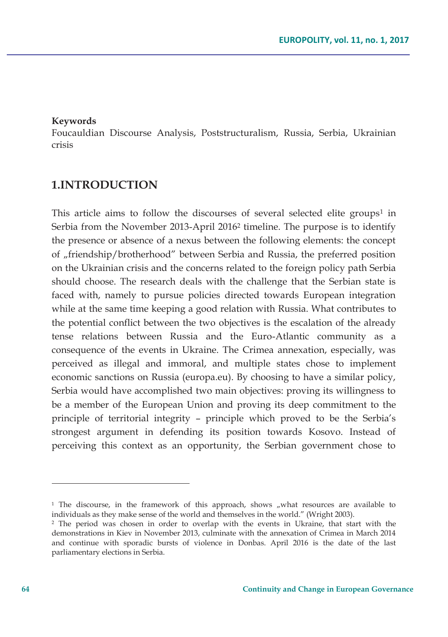#### **Keywords**

Foucauldian Discourse Analysis, Poststructuralism, Russia, Serbia, Ukrainian crisis

#### **1.INTRODUCTION**

This article aims to follow the discourses of several selected elite groups<sup>1</sup> in Serbia from the November 2013-April 20162 timeline. The purpose is to identify the presence or absence of a nexus between the following elements: the concept of "friendship/brotherhood" between Serbia and Russia, the preferred position on the Ukrainian crisis and the concerns related to the foreign policy path Serbia should choose. The research deals with the challenge that the Serbian state is faced with, namely to pursue policies directed towards European integration while at the same time keeping a good relation with Russia. What contributes to the potential conflict between the two objectives is the escalation of the already tense relations between Russia and the Euro-Atlantic community as a consequence of the events in Ukraine. The Crimea annexation, especially, was perceived as illegal and immoral, and multiple states chose to implement economic sanctions on Russia (europa.eu). By choosing to have a similar policy, Serbia would have accomplished two main objectives: proving its willingness to be a member of the European Union and proving its deep commitment to the principle of territorial integrity – principle which proved to be the Serbia's strongest argument in defending its position towards Kosovo. Instead of perceiving this context as an opportunity, the Serbian government chose to

 $1$  The discourse, in the framework of this approach, shows "what resources are available to individuals as they make sense of the world and themselves in the world." (Wright 2003).

<sup>2</sup> The period was chosen in order to overlap with the events in Ukraine, that start with the demonstrations in Kiev in November 2013, culminate with the annexation of Crimea in March 2014 and continue with sporadic bursts of violence in Donbas. April 2016 is the date of the last parliamentary elections in Serbia.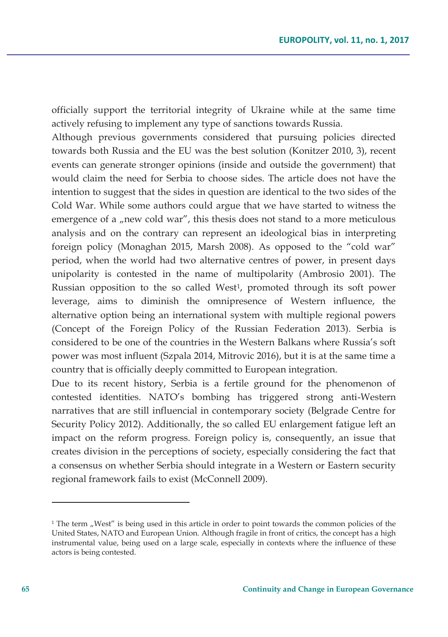officially support the territorial integrity of Ukraine while at the same time actively refusing to implement any type of sanctions towards Russia.

Although previous governments considered that pursuing policies directed towards both Russia and the EU was the best solution (Konitzer 2010, 3), recent events can generate stronger opinions (inside and outside the government) that would claim the need for Serbia to choose sides. The article does not have the intention to suggest that the sides in question are identical to the two sides of the Cold War. While some authors could argue that we have started to witness the emergence of a "new cold war", this thesis does not stand to a more meticulous analysis and on the contrary can represent an ideological bias in interpreting foreign policy (Monaghan 2015, Marsh 2008). As opposed to the "cold war" period, when the world had two alternative centres of power, in present days unipolarity is contested in the name of multipolarity (Ambrosio 2001). The Russian opposition to the so called West<sup>1</sup>, promoted through its soft power leverage, aims to diminish the omnipresence of Western influence, the alternative option being an international system with multiple regional powers (Concept of the Foreign Policy of the Russian Federation 2013). Serbia is considered to be one of the countries in the Western Balkans where Russia's soft power was most influent (Szpala 2014, Mitrovic 2016), but it is at the same time a country that is officially deeply committed to European integration.

Due to its recent history, Serbia is a fertile ground for the phenomenon of contested identities. NATO's bombing has triggered strong anti-Western narratives that are still influencial in contemporary society (Belgrade Centre for Security Policy 2012). Additionally, the so called EU enlargement fatigue left an impact on the reform progress. Foreign policy is, consequently, an issue that creates division in the perceptions of society, especially considering the fact that a consensus on whether Serbia should integrate in a Western or Eastern security regional framework fails to exist (McConnell 2009).

 $1$  The term "West" is being used in this article in order to point towards the common policies of the United States, NATO and European Union. Although fragile in front of critics, the concept has a high instrumental value, being used on a large scale, especially in contexts where the influence of these actors is being contested.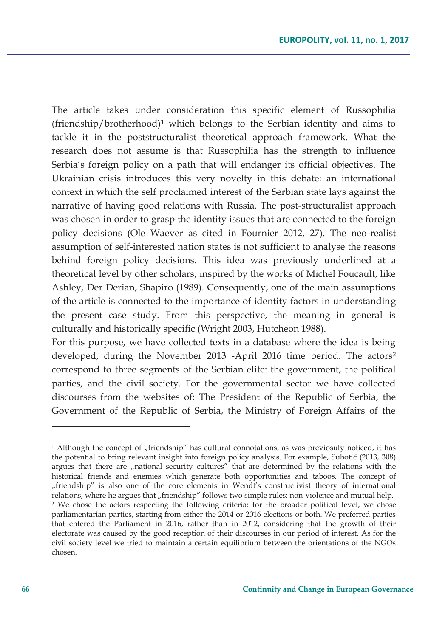The article takes under consideration this specific element of Russophilia  $(friendship/brotherhood)<sup>1</sup>$  which belongs to the Serbian identity and aims to tackle it in the poststructuralist theoretical approach framework. What the research does not assume is that Russophilia has the strength to influence Serbia's foreign policy on a path that will endanger its official objectives. The Ukrainian crisis introduces this very novelty in this debate: an international context in which the self proclaimed interest of the Serbian state lays against the narrative of having good relations with Russia. The post-structuralist approach was chosen in order to grasp the identity issues that are connected to the foreign policy decisions (Ole Waever as cited in Fournier 2012, 27). The neo-realist assumption of self-interested nation states is not sufficient to analyse the reasons behind foreign policy decisions. This idea was previously underlined at a theoretical level by other scholars, inspired by the works of Michel Foucault, like Ashley, Der Derian, Shapiro (1989). Consequently, one of the main assumptions of the article is connected to the importance of identity factors in understanding the present case study. From this perspective, the meaning in general is culturally and historically specific (Wright 2003, Hutcheon 1988).

For this purpose, we have collected texts in a database where the idea is being developed, during the November 2013 -April 2016 time period. The actors<sup>2</sup> correspond to three segments of the Serbian elite: the government, the political parties, and the civil society. For the governmental sector we have collected discourses from the websites of: The President of the Republic of Serbia, the Government of the Republic of Serbia, the Ministry of Foreign Affairs of the

<sup>&</sup>lt;sup>1</sup> Although the concept of "friendship" has cultural connotations, as was previosuly noticed, it has the potential to bring relevant insight into foreign policy analysis. For example, Subotić (2013, 308) argues that there are "national security cultures" that are determined by the relations with the historical friends and enemies which generate both opportunities and taboos. The concept of "friendship" is also one of the core elements in Wendt's constructivist theory of international relations, where he argues that "friendship" follows two simple rules: non-violence and mutual help. 2 We chose the actors respecting the following criteria: for the broader political level, we chose parliamentarian parties, starting from either the 2014 or 2016 elections or both. We preferred parties that entered the Parliament in 2016, rather than in 2012, considering that the growth of their electorate was caused by the good reception of their discourses in our period of interest. As for the civil society level we tried to maintain a certain equilibrium between the orientations of the NGOs chosen.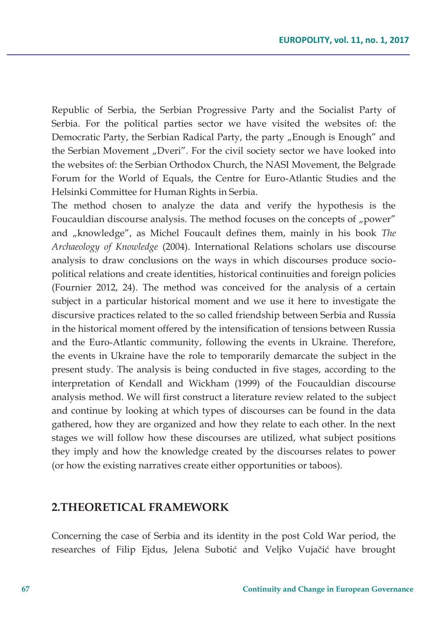Republic of Serbia, the Serbian Progressive Party and the Socialist Party of Serbia. For the political parties sector we have visited the websites of: the Democratic Party, the Serbian Radical Party, the party "Enough is Enough" and the Serbian Movement "Dveri". For the civil society sector we have looked into the websites of: the Serbian Orthodox Church, the NASI Movement, the Belgrade Forum for the World of Equals, the Centre for Euro-Atlantic Studies and the Helsinki Committee for Human Rights in Serbia.

The method chosen to analyze the data and verify the hypothesis is the Foucauldian discourse analysis. The method focuses on the concepts of "power" and "knowledge", as Michel Foucault defines them, mainly in his book *The Archaeology of Knowledge* (2004). International Relations scholars use discourse analysis to draw conclusions on the ways in which discourses produce sociopolitical relations and create identities, historical continuities and foreign policies (Fournier 2012, 24). The method was conceived for the analysis of a certain subject in a particular historical moment and we use it here to investigate the discursive practices related to the so called friendship between Serbia and Russia in the historical moment offered by the intensification of tensions between Russia and the Euro-Atlantic community, following the events in Ukraine. Therefore, the events in Ukraine have the role to temporarily demarcate the subject in the present study. The analysis is being conducted in five stages, according to the interpretation of Kendall and Wickham (1999) of the Foucauldian discourse analysis method. We will first construct a literature review related to the subject and continue by looking at which types of discourses can be found in the data gathered, how they are organized and how they relate to each other. In the next stages we will follow how these discourses are utilized, what subject positions they imply and how the knowledge created by the discourses relates to power (or how the existing narratives create either opportunities or taboos).

### **2.THEORETICAL FRAMEWORK**

Concerning the case of Serbia and its identity in the post Cold War period, the researches of Filip Ejdus, Jelena Subotić and Veljko Vujačić have brought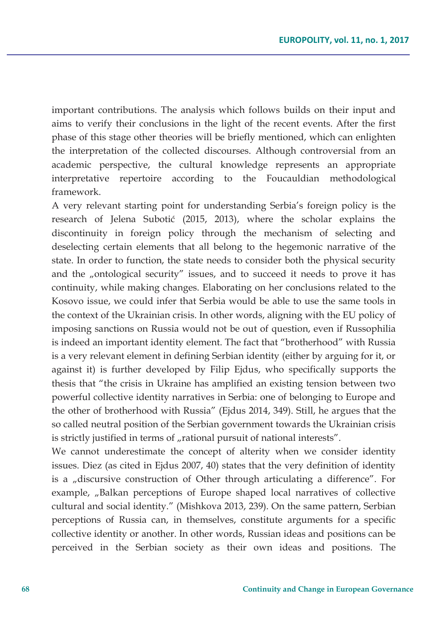important contributions. The analysis which follows builds on their input and aims to verify their conclusions in the light of the recent events. After the first phase of this stage other theories will be briefly mentioned, which can enlighten the interpretation of the collected discourses. Although controversial from an academic perspective, the cultural knowledge represents an appropriate interpretative repertoire according to the Foucauldian methodological framework.

A very relevant starting point for understanding Serbia's foreign policy is the research of Jelena Subotić (2015, 2013), where the scholar explains the discontinuity in foreign policy through the mechanism of selecting and deselecting certain elements that all belong to the hegemonic narrative of the state. In order to function, the state needs to consider both the physical security and the "ontological security" issues, and to succeed it needs to prove it has continuity, while making changes. Elaborating on her conclusions related to the Kosovo issue, we could infer that Serbia would be able to use the same tools in the context of the Ukrainian crisis. In other words, aligning with the EU policy of imposing sanctions on Russia would not be out of question, even if Russophilia is indeed an important identity element. The fact that "brotherhood" with Russia is a very relevant element in defining Serbian identity (either by arguing for it, or against it) is further developed by Filip Ejdus, who specifically supports the thesis that "the crisis in Ukraine has amplified an existing tension between two powerful collective identity narratives in Serbia: one of belonging to Europe and the other of brotherhood with Russia" (Ejdus 2014, 349). Still, he argues that the so called neutral position of the Serbian government towards the Ukrainian crisis is strictly justified in terms of "rational pursuit of national interests".

We cannot underestimate the concept of alterity when we consider identity issues. Diez (as cited in Ejdus 2007, 40) states that the very definition of identity is a "discursive construction of Other through articulating a difference". For example, "Balkan perceptions of Europe shaped local narratives of collective cultural and social identity." (Mishkova 2013, 239). On the same pattern, Serbian perceptions of Russia can, in themselves, constitute arguments for a specific collective identity or another. In other words, Russian ideas and positions can be perceived in the Serbian society as their own ideas and positions. The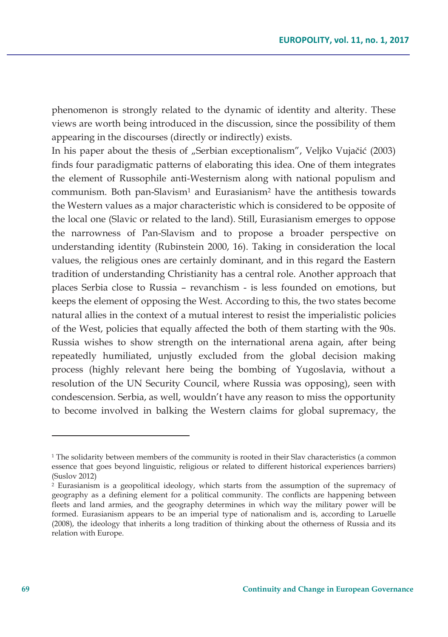phenomenon is strongly related to the dynamic of identity and alterity. These views are worth being introduced in the discussion, since the possibility of them appearing in the discourses (directly or indirectly) exists.

In his paper about the thesis of "Serbian exceptionalism", Veljko Vujačić (2003) finds four paradigmatic patterns of elaborating this idea. One of them integrates the element of Russophile anti-Westernism along with national populism and communism. Both pan-Slavism<sup>1</sup> and Eurasianism<sup>2</sup> have the antithesis towards the Western values as a major characteristic which is considered to be opposite of the local one (Slavic or related to the land). Still, Eurasianism emerges to oppose the narrowness of Pan-Slavism and to propose a broader perspective on understanding identity (Rubinstein 2000, 16). Taking in consideration the local values, the religious ones are certainly dominant, and in this regard the Eastern tradition of understanding Christianity has a central role. Another approach that places Serbia close to Russia – revanchism - is less founded on emotions, but keeps the element of opposing the West. According to this, the two states become natural allies in the context of a mutual interest to resist the imperialistic policies of the West, policies that equally affected the both of them starting with the 90s. Russia wishes to show strength on the international arena again, after being repeatedly humiliated, unjustly excluded from the global decision making process (highly relevant here being the bombing of Yugoslavia, without a resolution of the UN Security Council, where Russia was opposing), seen with condescension. Serbia, as well, wouldn't have any reason to miss the opportunity to become involved in balking the Western claims for global supremacy, the

<sup>&</sup>lt;sup>1</sup> The solidarity between members of the community is rooted in their Slav characteristics (a common essence that goes beyond linguistic, religious or related to different historical experiences barriers) (Suslov 2012)

<sup>&</sup>lt;sup>2</sup> Eurasianism is a geopolitical ideology, which starts from the assumption of the supremacy of geography as a defining element for a political community. The conflicts are happening between fleets and land armies, and the geography determines in which way the military power will be formed. Eurasianism appears to be an imperial type of nationalism and is, according to Laruelle (2008), the ideology that inherits a long tradition of thinking about the otherness of Russia and its relation with Europe.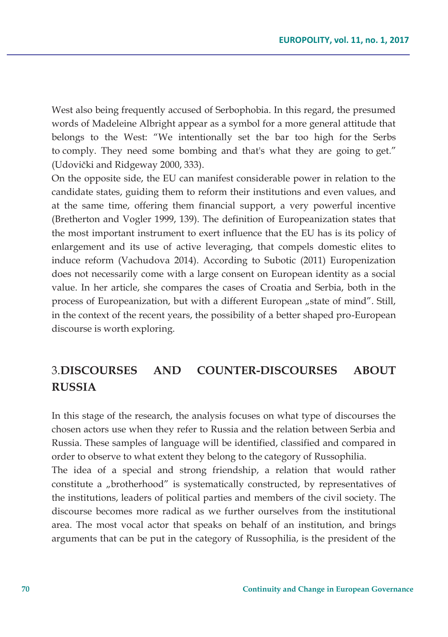West also being frequently accused of Serbophobia. In this regard, the presumed words of Madeleine Albright appear as a symbol for a more general attitude that belongs to the West: "We intentionally set the bar too high for the Serbs to comply. They need some bombing and that's what they are going to get." (Udovički and Ridgeway 2000, 333).

On the opposite side, the EU can manifest considerable power in relation to the candidate states, guiding them to reform their institutions and even values, and at the same time, offering them financial support, a very powerful incentive (Bretherton and Vogler 1999, 139). The definition of Europeanization states that the most important instrument to exert influence that the EU has is its policy of enlargement and its use of active leveraging, that compels domestic elites to induce reform (Vachudova 2014). According to Subotic (2011) Europenization does not necessarily come with a large consent on European identity as a social value. In her article, she compares the cases of Croatia and Serbia, both in the process of Europeanization, but with a different European "state of mind". Still, in the context of the recent years, the possibility of a better shaped pro-European discourse is worth exploring.

## 3.**DISCOURSES AND COUNTER-DISCOURSES ABOUT RUSSIA**

In this stage of the research, the analysis focuses on what type of discourses the chosen actors use when they refer to Russia and the relation between Serbia and Russia. These samples of language will be identified, classified and compared in order to observe to what extent they belong to the category of Russophilia.

The idea of a special and strong friendship, a relation that would rather constitute a "brotherhood" is systematically constructed, by representatives of the institutions, leaders of political parties and members of the civil society. The discourse becomes more radical as we further ourselves from the institutional area. The most vocal actor that speaks on behalf of an institution, and brings arguments that can be put in the category of Russophilia, is the president of the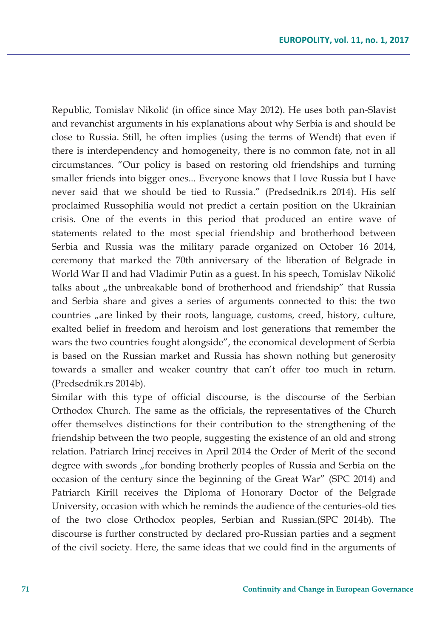Republic, Tomislav Nikolić (in office since May 2012). He uses both pan-Slavist and revanchist arguments in his explanations about why Serbia is and should be close to Russia. Still, he often implies (using the terms of Wendt) that even if there is interdependency and homogeneity, there is no common fate, not in all circumstances. "Our policy is based on restoring old friendships and turning smaller friends into bigger ones... Everyone knows that I love Russia but I have never said that we should be tied to Russia." (Predsednik.rs 2014). His self proclaimed Russophilia would not predict a certain position on the Ukrainian crisis. One of the events in this period that produced an entire wave of statements related to the most special friendship and brotherhood between Serbia and Russia was the military parade organized on October 16 2014, ceremony that marked the 70th anniversary of the liberation of Belgrade in World War II and had Vladimir Putin as a guest. In his speech, Tomislav Nikolić talks about "the unbreakable bond of brotherhood and friendship" that Russia and Serbia share and gives a series of arguments connected to this: the two countries "are linked by their roots, language, customs, creed, history, culture, exalted belief in freedom and heroism and lost generations that remember the wars the two countries fought alongside", the economical development of Serbia is based on the Russian market and Russia has shown nothing but generosity towards a smaller and weaker country that can't offer too much in return. (Predsednik.rs 2014b).

Similar with this type of official discourse, is the discourse of the Serbian Orthodox Church. The same as the officials, the representatives of the Church offer themselves distinctions for their contribution to the strengthening of the friendship between the two people, suggesting the existence of an old and strong relation. Patriarch Irinej receives in April 2014 the Order of Merit of the second degree with swords "for bonding brotherly peoples of Russia and Serbia on the occasion of the century since the beginning of the Great War" (SPC 2014) and Patriarch Kirill receives the Diploma of Honorary Doctor of the Belgrade University, occasion with which he reminds the audience of the centuries-old ties of the two close Orthodox peoples, Serbian and Russian.(SPC 2014b). The discourse is further constructed by declared pro-Russian parties and a segment of the civil society. Here, the same ideas that we could find in the arguments of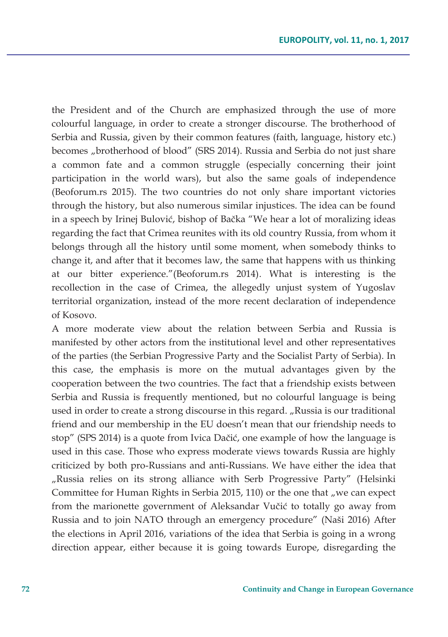the President and of the Church are emphasized through the use of more colourful language, in order to create a stronger discourse. The brotherhood of Serbia and Russia, given by their common features (faith, language, history etc.) becomes "brotherhood of blood" (SRS 2014). Russia and Serbia do not just share a common fate and a common struggle (especially concerning their joint participation in the world wars), but also the same goals of independence (Beoforum.rs 2015). The two countries do not only share important victories through the history, but also numerous similar injustices. The idea can be found in a speech by Irinej Bulović, bishop of Bačka "We hear a lot of moralizing ideas regarding the fact that Crimea reunites with its old country Russia, from whom it belongs through all the history until some moment, when somebody thinks to change it, and after that it becomes law, the same that happens with us thinking at our bitter experience."(Beoforum.rs 2014). What is interesting is the recollection in the case of Crimea, the allegedly unjust system of Yugoslav territorial organization, instead of the more recent declaration of independence of Kosovo.

A more moderate view about the relation between Serbia and Russia is manifested by other actors from the institutional level and other representatives of the parties (the Serbian Progressive Party and the Socialist Party of Serbia). In this case, the emphasis is more on the mutual advantages given by the cooperation between the two countries. The fact that a friendship exists between Serbia and Russia is frequently mentioned, but no colourful language is being used in order to create a strong discourse in this regard. "Russia is our traditional friend and our membership in the EU doesn't mean that our friendship needs to stop" (SPS 2014) is a quote from Ivica Dačić, one example of how the language is used in this case. Those who express moderate views towards Russia are highly criticized by both pro-Russians and anti-Russians. We have either the idea that "Russia relies on its strong alliance with Serb Progressive Party" (Helsinki Committee for Human Rights in Serbia 2015, 110) or the one that "we can expect from the marionette government of Aleksandar Vučić to totally go away from Russia and to join NATO through an emergency procedure" (Naši 2016) After the elections in April 2016, variations of the idea that Serbia is going in a wrong direction appear, either because it is going towards Europe, disregarding the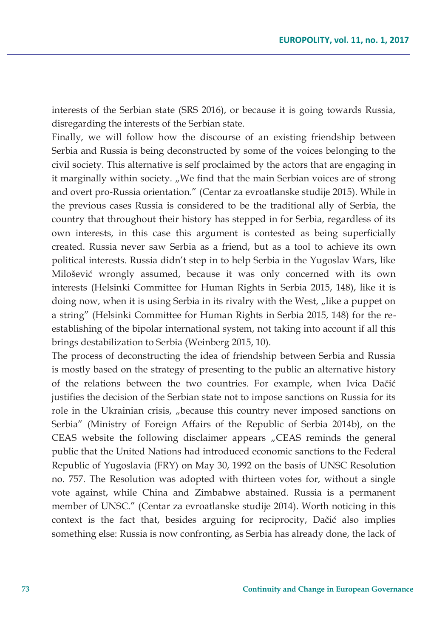interests of the Serbian state (SRS 2016), or because it is going towards Russia, disregarding the interests of the Serbian state.

Finally, we will follow how the discourse of an existing friendship between Serbia and Russia is being deconstructed by some of the voices belonging to the civil society. This alternative is self proclaimed by the actors that are engaging in it marginally within society. "We find that the main Serbian voices are of strong and overt pro-Russia orientation." (Centar za evroatlanske studije 2015). While in the previous cases Russia is considered to be the traditional ally of Serbia, the country that throughout their history has stepped in for Serbia, regardless of its own interests, in this case this argument is contested as being superficially created. Russia never saw Serbia as a friend, but as a tool to achieve its own political interests. Russia didn't step in to help Serbia in the Yugoslav Wars, like Milošević wrongly assumed, because it was only concerned with its own interests (Helsinki Committee for Human Rights in Serbia 2015, 148), like it is doing now, when it is using Serbia in its rivalry with the West, "like a puppet on a string" (Helsinki Committee for Human Rights in Serbia 2015, 148) for the reestablishing of the bipolar international system, not taking into account if all this brings destabilization to Serbia (Weinberg 2015, 10).

The process of deconstructing the idea of friendship between Serbia and Russia is mostly based on the strategy of presenting to the public an alternative history of the relations between the two countries. For example, when Ivica Dačić justifies the decision of the Serbian state not to impose sanctions on Russia for its role in the Ukrainian crisis, "because this country never imposed sanctions on Serbia" (Ministry of Foreign Affairs of the Republic of Serbia 2014b), on the CEAS website the following disclaimer appears "CEAS reminds the general public that the United Nations had introduced economic sanctions to the Federal Republic of Yugoslavia (FRY) on May 30, 1992 on the basis of UNSC Resolution no. 757. The Resolution was adopted with thirteen votes for, without a single vote against, while China and Zimbabwe abstained. Russia is a permanent member of UNSC." (Centar za evroatlanske studije 2014). Worth noticing in this context is the fact that, besides arguing for reciprocity, Dačić also implies something else: Russia is now confronting, as Serbia has already done, the lack of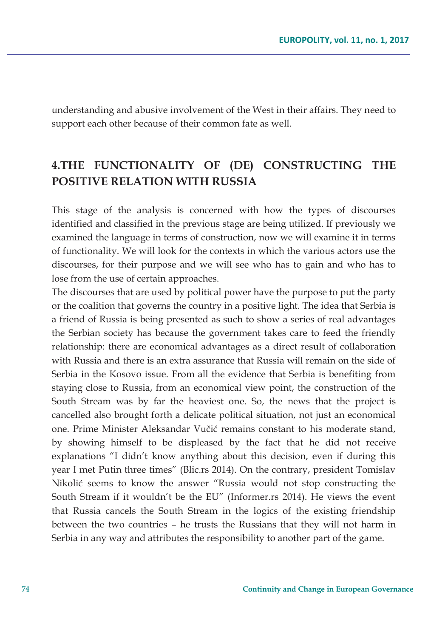understanding and abusive involvement of the West in their affairs. They need to support each other because of their common fate as well.

## **4.THE FUNCTIONALITY OF (DE) CONSTRUCTING THE POSITIVE RELATION WITH RUSSIA**

This stage of the analysis is concerned with how the types of discourses identified and classified in the previous stage are being utilized. If previously we examined the language in terms of construction, now we will examine it in terms of functionality. We will look for the contexts in which the various actors use the discourses, for their purpose and we will see who has to gain and who has to lose from the use of certain approaches.

The discourses that are used by political power have the purpose to put the party or the coalition that governs the country in a positive light. The idea that Serbia is a friend of Russia is being presented as such to show a series of real advantages the Serbian society has because the government takes care to feed the friendly relationship: there are economical advantages as a direct result of collaboration with Russia and there is an extra assurance that Russia will remain on the side of Serbia in the Kosovo issue. From all the evidence that Serbia is benefiting from staying close to Russia, from an economical view point, the construction of the South Stream was by far the heaviest one. So, the news that the project is cancelled also brought forth a delicate political situation, not just an economical one. Prime Minister Aleksandar Vučić remains constant to his moderate stand, by showing himself to be displeased by the fact that he did not receive explanations "I didn't know anything about this decision, even if during this year I met Putin three times" (Blic.rs 2014). On the contrary, president Tomislav Nikolić seems to know the answer "Russia would not stop constructing the South Stream if it wouldn't be the EU" (Informer.rs 2014). He views the event that Russia cancels the South Stream in the logics of the existing friendship between the two countries – he trusts the Russians that they will not harm in Serbia in any way and attributes the responsibility to another part of the game.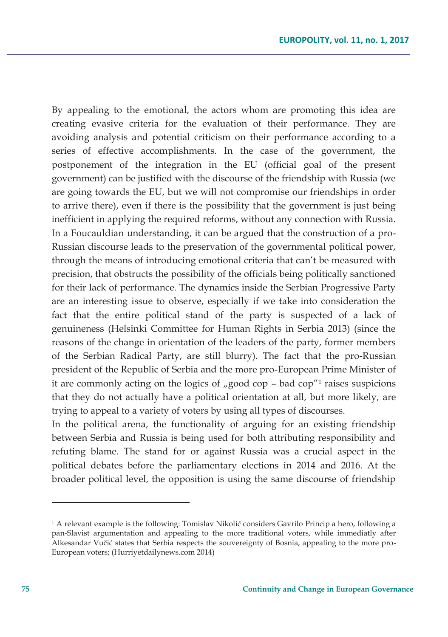By appealing to the emotional, the actors whom are promoting this idea are creating evasive criteria for the evaluation of their performance. They are avoiding analysis and potential criticism on their performance according to a series of effective accomplishments. In the case of the government, the postponement of the integration in the EU (official goal of the present government) can be justified with the discourse of the friendship with Russia (we are going towards the EU, but we will not compromise our friendships in order to arrive there), even if there is the possibility that the government is just being inefficient in applying the required reforms, without any connection with Russia. In a Foucauldian understanding, it can be argued that the construction of a pro-Russian discourse leads to the preservation of the governmental political power, through the means of introducing emotional criteria that can't be measured with precision, that obstructs the possibility of the officials being politically sanctioned for their lack of performance. The dynamics inside the Serbian Progressive Party are an interesting issue to observe, especially if we take into consideration the fact that the entire political stand of the party is suspected of a lack of genuineness (Helsinki Committee for Human Rights in Serbia 2013) (since the reasons of the change in orientation of the leaders of the party, former members of the Serbian Radical Party, are still blurry). The fact that the pro-Russian president of the Republic of Serbia and the more pro-European Prime Minister of it are commonly acting on the logics of  $\mu$ good cop – bad cop<sup> $n_1$ </sup> raises suspicions that they do not actually have a political orientation at all, but more likely, are trying to appeal to a variety of voters by using all types of discourses.

In the political arena, the functionality of arguing for an existing friendship between Serbia and Russia is being used for both attributing responsibility and refuting blame. The stand for or against Russia was a crucial aspect in the political debates before the parliamentary elections in 2014 and 2016. At the broader political level, the opposition is using the same discourse of friendship

<sup>1</sup> A relevant example is the following: Tomislav Nikolić considers Gavrilo Princip a hero, following a pan-Slavist argumentation and appealing to the more traditional voters, while immediatly after Alkesandar Vučić states that Serbia respects the souvereignty of Bosnia, appealing to the more pro-European voters; (Hurriyetdailynews.com 2014)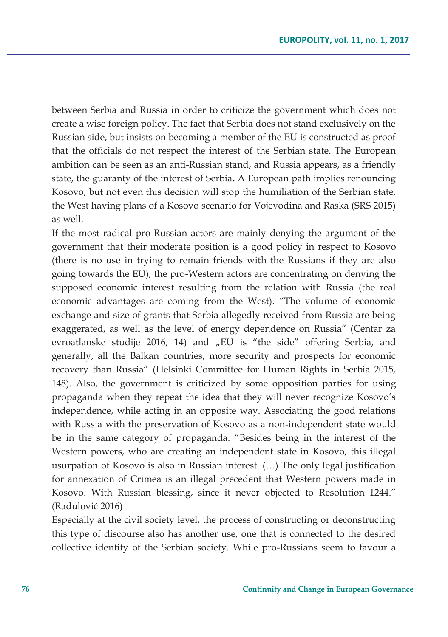between Serbia and Russia in order to criticize the government which does not create a wise foreign policy. The fact that Serbia does not stand exclusively on the Russian side, but insists on becoming a member of the EU is constructed as proof that the officials do not respect the interest of the Serbian state. The European ambition can be seen as an anti-Russian stand, and Russia appears, as a friendly state, the guaranty of the interest of Serbia**.** A European path implies renouncing Kosovo, but not even this decision will stop the humiliation of the Serbian state, the West having plans of a Kosovo scenario for Vojevodina and Raska (SRS 2015) as well.

If the most radical pro-Russian actors are mainly denying the argument of the government that their moderate position is a good policy in respect to Kosovo (there is no use in trying to remain friends with the Russians if they are also going towards the EU), the pro-Western actors are concentrating on denying the supposed economic interest resulting from the relation with Russia (the real economic advantages are coming from the West). "The volume of economic exchange and size of grants that Serbia allegedly received from Russia are being exaggerated, as well as the level of energy dependence on Russia" (Centar za evroatlanske studije 2016, 14) and "EU is "the side" offering Serbia, and generally, all the Balkan countries, more security and prospects for economic recovery than Russia" (Helsinki Committee for Human Rights in Serbia 2015, 148). Also, the government is criticized by some opposition parties for using propaganda when they repeat the idea that they will never recognize Kosovo's independence, while acting in an opposite way. Associating the good relations with Russia with the preservation of Kosovo as a non-independent state would be in the same category of propaganda. "Besides being in the interest of the Western powers, who are creating an independent state in Kosovo, this illegal usurpation of Kosovo is also in Russian interest. (…) The only legal justification for annexation of Crimea is an illegal precedent that Western powers made in Kosovo. With Russian blessing, since it never objected to Resolution 1244." (Radulović 2016)

Especially at the civil society level, the process of constructing or deconstructing this type of discourse also has another use, one that is connected to the desired collective identity of the Serbian society. While pro-Russians seem to favour a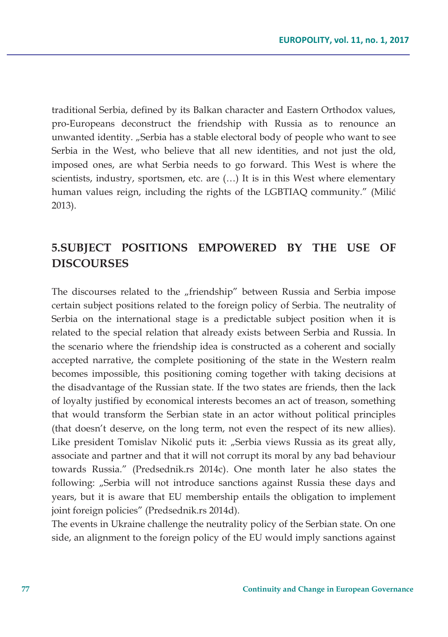traditional Serbia, defined by its Balkan character and Eastern Orthodox values, pro-Europeans deconstruct the friendship with Russia as to renounce an unwanted identity. "Serbia has a stable electoral body of people who want to see Serbia in the West, who believe that all new identities, and not just the old, imposed ones, are what Serbia needs to go forward. This West is where the scientists, industry, sportsmen, etc. are (…) It is in this West where elementary human values reign, including the rights of the LGBTIAQ community." (Milić 2013).

### **5.SUBJECT POSITIONS EMPOWERED BY THE USE OF DISCOURSES**

The discourses related to the "friendship" between Russia and Serbia impose certain subject positions related to the foreign policy of Serbia. The neutrality of Serbia on the international stage is a predictable subject position when it is related to the special relation that already exists between Serbia and Russia. In the scenario where the friendship idea is constructed as a coherent and socially accepted narrative, the complete positioning of the state in the Western realm becomes impossible, this positioning coming together with taking decisions at the disadvantage of the Russian state. If the two states are friends, then the lack of loyalty justified by economical interests becomes an act of treason, something that would transform the Serbian state in an actor without political principles (that doesn't deserve, on the long term, not even the respect of its new allies). Like president Tomislav Nikolić puts it: "Serbia views Russia as its great ally, associate and partner and that it will not corrupt its moral by any bad behaviour towards Russia." (Predsednik.rs 2014c). One month later he also states the following: "Serbia will not introduce sanctions against Russia these days and years, but it is aware that EU membership entails the obligation to implement joint foreign policies" (Predsednik.rs 2014d).

The events in Ukraine challenge the neutrality policy of the Serbian state. On one side, an alignment to the foreign policy of the EU would imply sanctions against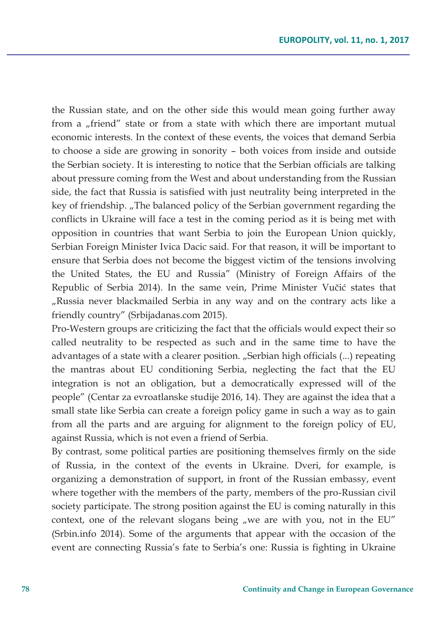the Russian state, and on the other side this would mean going further away from a "friend" state or from a state with which there are important mutual economic interests. In the context of these events, the voices that demand Serbia to choose a side are growing in sonority – both voices from inside and outside the Serbian society. It is interesting to notice that the Serbian officials are talking about pressure coming from the West and about understanding from the Russian side, the fact that Russia is satisfied with just neutrality being interpreted in the key of friendship. "The balanced policy of the Serbian government regarding the conflicts in Ukraine will face a test in the coming period as it is being met with opposition in countries that want Serbia to join the European Union quickly, Serbian Foreign Minister Ivica Dacic said. For that reason, it will be important to ensure that Serbia does not become the biggest victim of the tensions involving the United States, the EU and Russia" (Ministry of Foreign Affairs of the Republic of Serbia 2014). In the same vein, Prime Minister Vučić states that "Russia never blackmailed Serbia in any way and on the contrary acts like a friendly country" (Srbijadanas.com 2015).

Pro-Western groups are criticizing the fact that the officials would expect their so called neutrality to be respected as such and in the same time to have the advantages of a state with a clearer position. "Serbian high officials (...) repeating the mantras about EU conditioning Serbia, neglecting the fact that the EU integration is not an obligation, but a democratically expressed will of the people" (Centar za evroatlanske studije 2016, 14). They are against the idea that a small state like Serbia can create a foreign policy game in such a way as to gain from all the parts and are arguing for alignment to the foreign policy of EU, against Russia, which is not even a friend of Serbia.

By contrast, some political parties are positioning themselves firmly on the side of Russia, in the context of the events in Ukraine. Dveri, for example, is organizing a demonstration of support, in front of the Russian embassy, event where together with the members of the party, members of the pro-Russian civil society participate. The strong position against the EU is coming naturally in this context, one of the relevant slogans being "we are with you, not in the EU" (Srbin.info 2014). Some of the arguments that appear with the occasion of the event are connecting Russia's fate to Serbia's one: Russia is fighting in Ukraine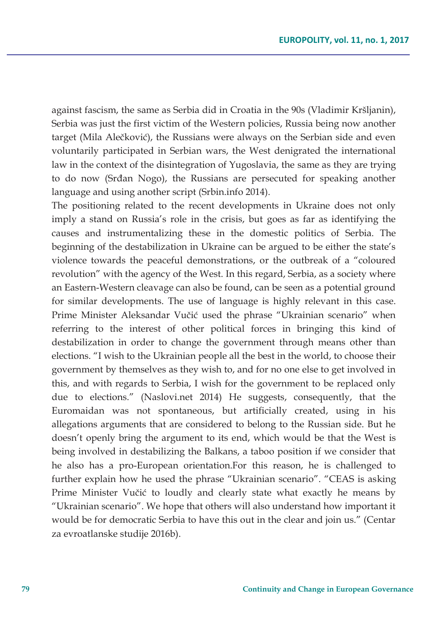against fascism, the same as Serbia did in Croatia in the 90s (Vladimir Kršljanin), Serbia was just the first victim of the Western policies, Russia being now another target (Mila Alečković), the Russians were always on the Serbian side and even voluntarily participated in Serbian wars, the West denigrated the international law in the context of the disintegration of Yugoslavia, the same as they are trying to do now (Srđan Nogo), the Russians are persecuted for speaking another language and using another script (Srbin.info 2014).

The positioning related to the recent developments in Ukraine does not only imply a stand on Russia's role in the crisis, but goes as far as identifying the causes and instrumentalizing these in the domestic politics of Serbia. The beginning of the destabilization in Ukraine can be argued to be either the state's violence towards the peaceful demonstrations, or the outbreak of a "coloured revolution" with the agency of the West. In this regard, Serbia, as a society where an Eastern-Western cleavage can also be found, can be seen as a potential ground for similar developments. The use of language is highly relevant in this case. Prime Minister Aleksandar Vučić used the phrase "Ukrainian scenario" when referring to the interest of other political forces in bringing this kind of destabilization in order to change the government through means other than elections. "I wish to the Ukrainian people all the best in the world, to choose their government by themselves as they wish to, and for no one else to get involved in this, and with regards to Serbia, I wish for the government to be replaced only due to elections." (Naslovi.net 2014) He suggests, consequently, that the Euromaidan was not spontaneous, but artificially created, using in his allegations arguments that are considered to belong to the Russian side. But he doesn't openly bring the argument to its end, which would be that the West is being involved in destabilizing the Balkans, a taboo position if we consider that he also has a pro-European orientation.For this reason, he is challenged to further explain how he used the phrase "Ukrainian scenario". "CEAS is asking Prime Minister Vučić to loudly and clearly state what exactly he means by "Ukrainian scenario". We hope that others will also understand how important it would be for democratic Serbia to have this out in the clear and join us." (Centar za evroatlanske studije 2016b).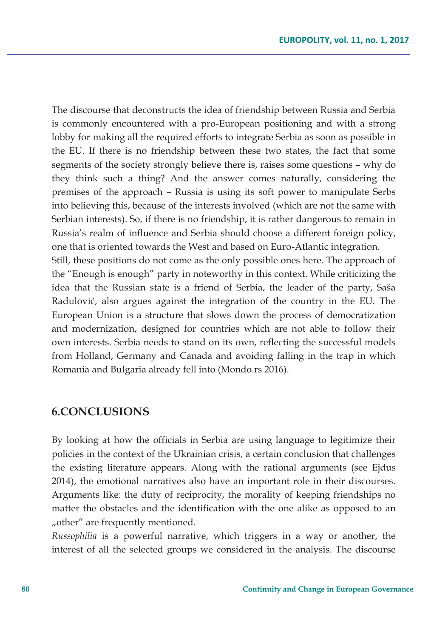The discourse that deconstructs the idea of friendship between Russia and Serbia is commonly encountered with a pro-European positioning and with a strong lobby for making all the required efforts to integrate Serbia as soon as possible in the EU. If there is no friendship between these two states, the fact that some segments of the society strongly believe there is, raises some questions – why do they think such a thing? And the answer comes naturally, considering the premises of the approach – Russia is using its soft power to manipulate Serbs into believing this, because of the interests involved (which are not the same with Serbian interests). So, if there is no friendship, it is rather dangerous to remain in Russia's realm of influence and Serbia should choose a different foreign policy, one that is oriented towards the West and based on Euro-Atlantic integration.

Still, these positions do not come as the only possible ones here. The approach of the "Enough is enough" party in noteworthy in this context. While criticizing the idea that the Russian state is a friend of Serbia, the leader of the party, Saša Radulović, also argues against the integration of the country in the EU. The European Union is a structure that slows down the process of democratization and modernization, designed for countries which are not able to follow their own interests. Serbia needs to stand on its own, reflecting the successful models from Holland, Germany and Canada and avoiding falling in the trap in which Romania and Bulgaria already fell into (Mondo.rs 2016).

#### **6.CONCLUSIONS**

By looking at how the officials in Serbia are using language to legitimize their policies in the context of the Ukrainian crisis, a certain conclusion that challenges the existing literature appears. Along with the rational arguments (see Ejdus 2014), the emotional narratives also have an important role in their discourses. Arguments like: the duty of reciprocity, the morality of keeping friendships no matter the obstacles and the identification with the one alike as opposed to an "other" are frequently mentioned.

*Russophilia* is a powerful narrative, which triggers in a way or another, the interest of all the selected groups we considered in the analysis. The discourse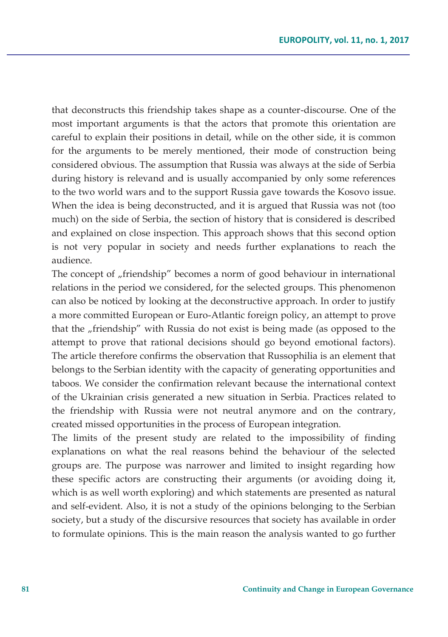that deconstructs this friendship takes shape as a counter-discourse. One of the most important arguments is that the actors that promote this orientation are careful to explain their positions in detail, while on the other side, it is common for the arguments to be merely mentioned, their mode of construction being considered obvious. The assumption that Russia was always at the side of Serbia during history is relevand and is usually accompanied by only some references to the two world wars and to the support Russia gave towards the Kosovo issue. When the idea is being deconstructed, and it is argued that Russia was not (too much) on the side of Serbia, the section of history that is considered is described and explained on close inspection. This approach shows that this second option is not very popular in society and needs further explanations to reach the audience.

The concept of "friendship" becomes a norm of good behaviour in international relations in the period we considered, for the selected groups. This phenomenon can also be noticed by looking at the deconstructive approach. In order to justify a more committed European or Euro-Atlantic foreign policy, an attempt to prove that the "friendship" with Russia do not exist is being made (as opposed to the attempt to prove that rational decisions should go beyond emotional factors). The article therefore confirms the observation that Russophilia is an element that belongs to the Serbian identity with the capacity of generating opportunities and taboos. We consider the confirmation relevant because the international context of the Ukrainian crisis generated a new situation in Serbia. Practices related to the friendship with Russia were not neutral anymore and on the contrary, created missed opportunities in the process of European integration.

The limits of the present study are related to the impossibility of finding explanations on what the real reasons behind the behaviour of the selected groups are. The purpose was narrower and limited to insight regarding how these specific actors are constructing their arguments (or avoiding doing it, which is as well worth exploring) and which statements are presented as natural and self-evident. Also, it is not a study of the opinions belonging to the Serbian society, but a study of the discursive resources that society has available in order to formulate opinions. This is the main reason the analysis wanted to go further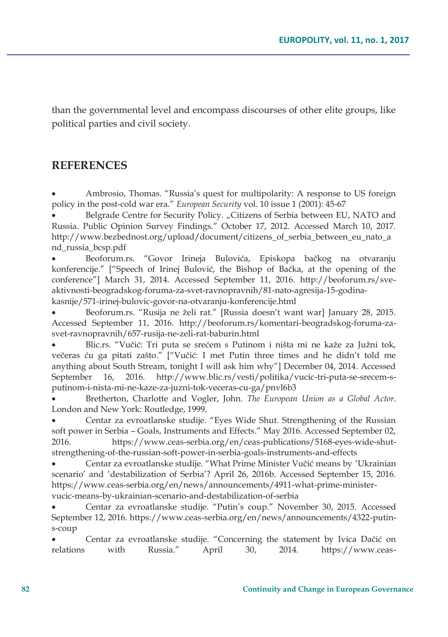than the governmental level and encompass discourses of other elite groups, like political parties and civil society.

### **REFERENCES**

x Ambrosio, Thomas. "Russia's quest for multipolarity: A response to US foreign policy in the post-cold war era." *European Security* vol. 10 issue 1 (2001): 45-67

Belgrade Centre for Security Policy. "Citizens of Serbia between EU, NATO and Russia. Public Opinion Survey Findings." October 17, 2012. Accessed March 10, 2017. http://www.bezbednost.org/upload/document/citizens\_of\_serbia\_between\_eu\_nato\_a nd\_russia\_bcsp.pdf

x Beoforum.rs. "Govor Irineja Bulovića, Episkopa bačkog na otvaranju konferencije." ["Speech of Irinej Bulović, the Bishop of Bačka, at the opening of the conference"] March 31, 2014. Accessed September 11, 2016. http://beoforum.rs/sveaktivnosti-beogradskog-foruma-za-svet-ravnopravnih/81-nato-agresija-15-godinakasnije/571-irinej-bulovic-govor-na-otvaranju-konferencije.html

Beoforum.rs. "Rusija ne želi rat." [Russia doesn't want war] January 28, 2015. Accessed September 11, 2016. http://beoforum.rs/komentari-beogradskog-foruma-zasvet-ravnopravnih/657-rusija-ne-zeli-rat-baburin.html

Blic.rs. "Vučić: Tri puta se srećem s Putinom i ništa mi ne kaže za Južni tok, večeras ću ga pitati zašto." ["Vučić: I met Putin three times and he didn't told me anything about South Stream, tonight I will ask him why"] December 04, 2014. Accessed September 16, 2016. http://www.blic.rs/vesti/politika/vucic-tri-puta-se-srecem-sputinom-i-nista-mi-ne-kaze-za-juzni-tok-veceras-cu-ga/pnvl6b3

Bretherton, Charlotte and Vogler, John. *The European Union as a Global Actor*. London and New York: Routledge, 1999.

Centar za evroatlanske studije. "Eyes Wide Shut. Strengthening of the Russian soft power in Serbia – Goals, Instruments and Effects." May 2016. Accessed September 02, 2016. https://www.ceas-serbia.org/en/ceas-publications/5168-eyes-wide-shutstrengthening-of-the-russian-soft-power-in-serbia-goals-instruments-and-effects

Centar za evroatlanske studije. "What Prime Minister Vučić means by 'Ukrainian scenario' and 'destabilization of Serbia'? April 26, 2016b. Accessed September 15, 2016. https://www.ceas-serbia.org/en/news/announcements/4911-what-prime-ministervucic-means-by-ukrainian-scenario-and-destabilization-of-serbia

x Centar za evroatlanske studije. "Putin's coup." November 30, 2015. Accessed September 12, 2016. https://www.ceas-serbia.org/en/news/announcements/4322-putins-coup

Centar za evroatlanske studije. "Concerning the statement by Ivica Dačić on relations with Russia." April 30, 2014. https://www.ceas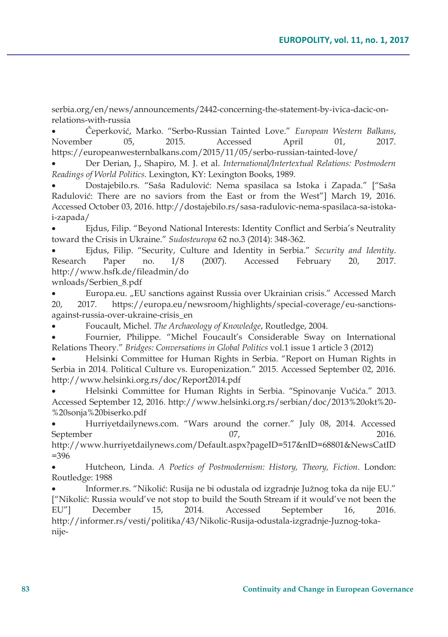serbia.org/en/news/announcements/2442-concerning-the-statement-by-ivica-dacic-onrelations-with-russia

x Čeperković, Marko. "Serbo-Russian Tainted Love." *European Western Balkans*, November 05, 2015. Accessed April 01, 2017. https://europeanwesternbalkans.com/2015/11/05/serbo-russian-tainted-love/

x Der Derian, J., Shapiro, M. J. et al. *International/Intertextual Relations: Postmodern Readings of World Politics*. Lexington, KY: Lexington Books, 1989.

x Dostajebilo.rs. "Saša Radulović: Nema spasilaca sa Istoka i Zapada." ["Saša Radulović: There are no saviors from the East or from the West"] March 19, 2016. Accessed October 03, 2016. http://dostajebilo.rs/sasa-radulovic-nema-spasilaca-sa-istokai-zapada/

x Ejdus, Filip. "Beyond National Interests: Identity Conflict and Serbia's Neutrality toward the Crisis in Ukraine." *Sudosteuropa* 62 no.3 (2014): 348-362.

x Ejdus, Filip. "Security, Culture and Identity in Serbia." *Security and Identity*. Research Paper no. I/8 (2007). Accessed February 20, 2017. http://www.hsfk.de/fileadmin/do

wnloads/Serbien\_8.pdf

x Europa.eu. "EU sanctions against Russia over Ukrainian crisis." Accessed March 20, 2017. https://europa.eu/newsroom/highlights/special-coverage/eu-sanctionsagainst-russia-over-ukraine-crisis\_en

x Foucault, Michel. *The Archaeology of Knowledge*, Routledge, 2004.

Fournier, Philippe. "Michel Foucault's Considerable Sway on International Relations Theory." *Bridges: Conversations in Global Politics* vol.1 issue 1 article 3 (2012)

x Helsinki Committee for Human Rights in Serbia. "Report on Human Rights in Serbia in 2014. Political Culture vs. Europenization." 2015. Accessed September 02, 2016. http://www.helsinki.org.rs/doc/Report2014.pdf

x Helsinki Committee for Human Rights in Serbia. "Spinovanje Vučića." 2013. Accessed September 12, 2016. http://www.helsinki.org.rs/serbian/doc/2013%20okt%20- %20sonja%20biserko.pdf

Hurriyetdailynews.com. "Wars around the corner." July 08, 2014. Accessed September 07, 2016.

http://www.hurriyetdailynews.com/Default.aspx?pageID=517&nID=68801&NewsCatID =396

x Hutcheon, Linda. *A Poetics of Postmodernism: History, Theory, Fiction*. London: Routledge: 1988

x Informer.rs. "Nikolić: Rusija ne bi odustala od izgradnje Južnog toka da nije EU." ["Nikolić: Russia would've not stop to build the South Stream if it would've not been the EU"] December 15, 2014. Accessed September 16, 2016. http://informer.rs/vesti/politika/43/Nikolic-Rusija-odustala-izgradnje-Juznog-tokanije-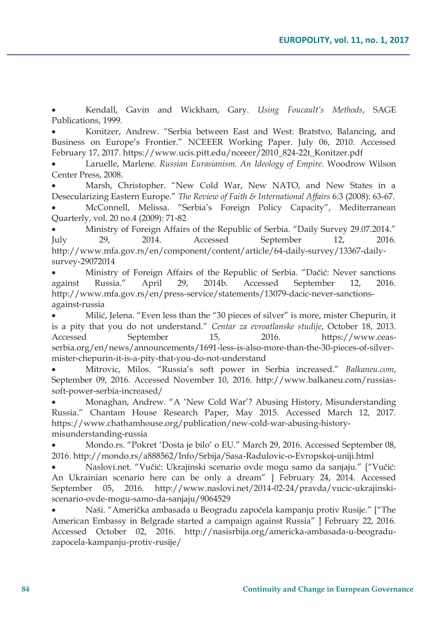x Kendall, Gavin and Wickham, Gary. *Using Foucault's Methods*, SAGE Publications, 1999.

x Konitzer, Andrew. "Serbia between East and West: Bratstvo, Balancing, and Business on Europe's Frontier." NCEEER Working Paper. July 06, 2010. Accessed February 17, 2017. https://www.ucis.pitt.edu/nceeer/2010\_824-22t\_Konitzer.pdf

x Laruelle, Marlene. *Russian Eurasianism. An Ideology of Empire*. Woodrow Wilson Center Press, 2008.

Marsh, Christopher. "New Cold War, New NATO, and New States in a Desecularizing Eastern Europe." *The Review of Faith & International Affairs* 6:3 (2008): 63-67. x McConnell, Melissa. "Serbia's Foreign Policy Capacity", Mediterranean Quarterly, vol. 20 no.4 (2009): 71-82

x Ministry of Foreign Affairs of the Republic of Serbia. "Daily Survey 29.07.2014." July 29, 2014. Accessed September 12, 2016. http://www.mfa.gov.rs/en/component/content/article/64-daily-survey/13367-daily-

survey-29072014

x Ministry of Foreign Affairs of the Republic of Serbia. "Dačić: Never sanctions against Russia." April 29, 2014b. Accessed September 12, 2016. http://www.mfa.gov.rs/en/press-service/statements/13079-dacic-never-sanctionsagainst-russia

x Milić, Jelena. "Even less than the "30 pieces of silver" is more, mister Chepurin, it is a pity that you do not understand." *Centar za evroatlanske studije*, October 18, 2013. Accessed September 15, 2016. https://www.ceasserbia.org/en/news/announcements/1691-less-is-also-more-than-the-30-pieces-of-silvermister-chepurin-it-is-a-pity-that-you-do-not-understand

x Mitrovic, Milos. "Russia's soft power in Serbia increased." *Balkaneu.com*, September 09, 2016. Accessed November 10, 2016. http://www.balkaneu.com/russiassoft-power-serbia-increased/

Monaghan, Andrew. "A 'New Cold War'? Abusing History, Misunderstanding Russia." Chantam House Research Paper, May 2015. Accessed March 12, 2017. https://www.chathamhouse.org/publication/new-cold-war-abusing-historymisunderstanding-russia

Mondo.rs. "Pokret 'Dosta je bilo' o EU." March 29, 2016. Accessed September 08, 2016. http://mondo.rs/a888562/Info/Srbija/Sasa-Radulovic-o-Evropskoj-uniji.html

x Naslovi.net. "Vučić: Ukrajinski scenario ovde mogu samo da sanjaju." ["Vučić: An Ukrainian scenario here can be only a dream" ] February 24, 2014. Accessed September 05, 2016. http://www.naslovi.net/2014-02-24/pravda/vucic-ukrajinskiscenario-ovde-mogu-samo-da-sanjaju/9064529

x Naši. "Američka ambasada u Beogradu započela kampanju protiv Rusije." ["The American Embassy in Belgrade started a campaign against Russia" ] February 22, 2016. Accessed October 02, 2016. http://nasisrbija.org/americka-ambasada-u-beograduzapocela-kampanju-protiv-rusije/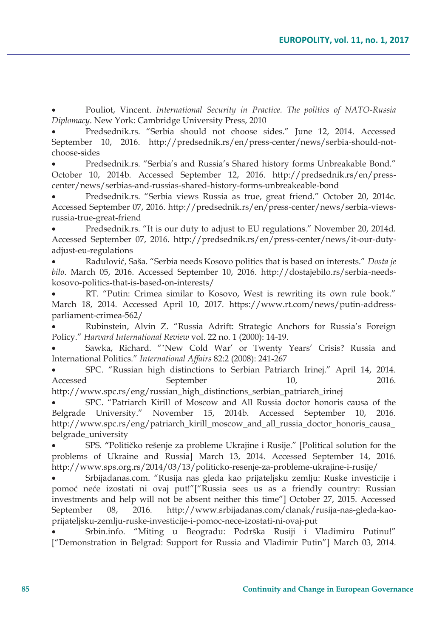x Pouliot, Vincent. *International Security in Practice. The politics of NATO-Russia Diplomacy*. New York: Cambridge University Press, 2010

Predsednik.rs. "Serbia should not choose sides." June 12, 2014. Accessed September 10, 2016. http://predsednik.rs/en/press-center/news/serbia-should-notchoose-sides

x Predsednik.rs. "Serbia's and Russia's Shared history forms Unbreakable Bond." October 10, 2014b. Accessed September 12, 2016. http://predsednik.rs/en/presscenter/news/serbias-and-russias-shared-history-forms-unbreakeable-bond

Predsednik.rs. "Serbia views Russia as true, great friend." October 20, 2014c. Accessed September 07, 2016. http://predsednik.rs/en/press-center/news/serbia-viewsrussia-true-great-friend

Predsednik.rs. "It is our duty to adjust to EU regulations." November 20, 2014d. Accessed September 07, 2016. http://predsednik.rs/en/press-center/news/it-our-dutyadjust-eu-regulations

x Radulović, Saša. "Serbia needs Kosovo politics that is based on interests." *Dosta je bilo*. March 05, 2016. Accessed September 10, 2016. http://dostajebilo.rs/serbia-needskosovo-politics-that-is-based-on-interests/

x RT. "Putin: Crimea similar to Kosovo, West is rewriting its own rule book." March 18, 2014. Accessed April 10, 2017. https://www.rt.com/news/putin-addressparliament-crimea-562/

x Rubinstein, Alvin Z. "Russia Adrift: Strategic Anchors for Russia's Foreign Policy." *Harvard International Review* vol. 22 no. 1 (2000): 14-19.

Sawka, Richard. "'New Cold War' or Twenty Years' Crisis? Russia and International Politics." *International Affairs* 82:2 (2008): 241-267

x SPC. "Russian high distinctions to Serbian Patriarch Irinej." April 14, 2014. Accessed September 10, 2016.

http://www.spc.rs/eng/russian\_high\_distinctions\_serbian\_patriarch\_irinej

SPC. "Patriarch Kirill of Moscow and All Russia doctor honoris causa of the Belgrade University." November 15, 2014b. Accessed September 10, 2016. http://www.spc.rs/eng/patriarch\_kirill\_moscow\_and\_all\_russia\_doctor\_honoris\_causa\_ belgrade\_university

x SPS. **"**Političko rešenje za probleme Ukrajine i Rusije." [Political solution for the problems of Ukraine and Russia] March 13, 2014. Accessed September 14, 2016. http://www.sps.org.rs/2014/03/13/politicko-resenje-za-probleme-ukrajine-i-rusije/

x Srbijadanas.com. "Rusija nas gleda kao prijateljsku zemlju: Ruske investicije i pomoć neće izostati ni ovaj put!"["Russia sees us as a friendly country: Russian investments and help will not be absent neither this time"] October 27, 2015. Accessed September 08, 2016. http://www.srbijadanas.com/clanak/rusija-nas-gleda-kaoprijateljsku-zemlju-ruske-investicije-i-pomoc-nece-izostati-ni-ovaj-put

x Srbin.info. "Miting u Beogradu: Podrška Rusiji i Vladimiru Putinu!" ["Demonstration in Belgrad: Support for Russia and Vladimir Putin"] March 03, 2014.